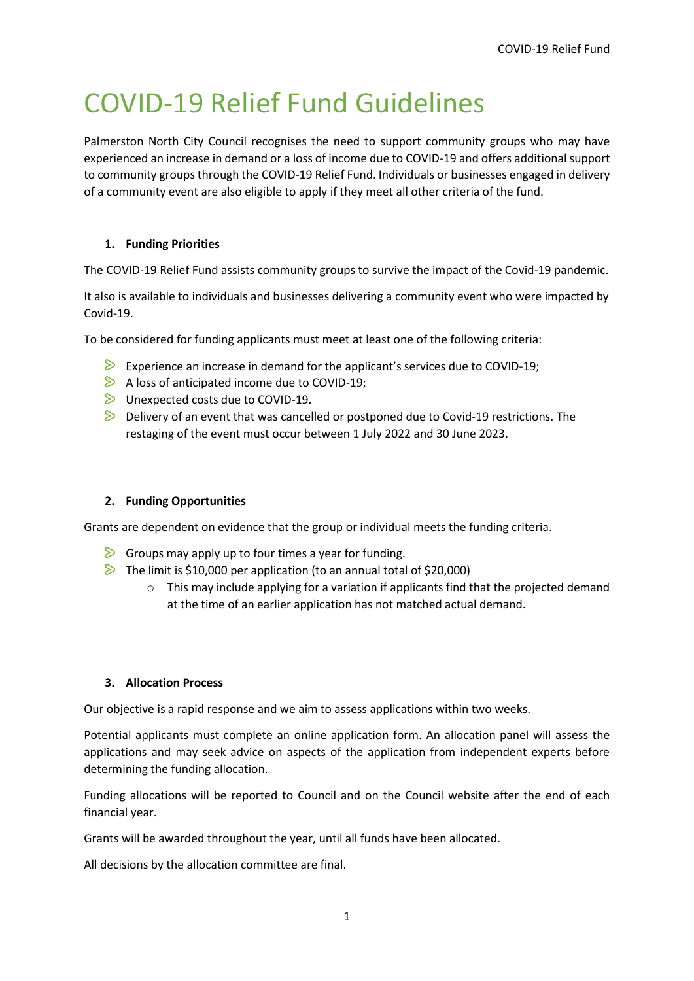# COVID-19 Relief Fund Guidelines

Palmerston North City Council recognises the need to support community groups who may have experienced an increase in demand or a loss of income due to COVID-19 and offers additional support to community groups through the COVID-19 Relief Fund. Individuals or businesses engaged in delivery of a community event are also eligible to apply if they meet all other criteria of the fund.

# **1. Funding Priorities**

The COVID-19 Relief Fund assists community groups to survive the impact of the Covid-19 pandemic.

It also is available to individuals and businesses delivering a community event who were impacted by Covid-19.

To be considered for funding applicants must meet at least one of the following criteria:

- Experience an increase in demand for the applicant's services due to COVID-19;
- $\triangleright$  A loss of anticipated income due to COVID-19;
- $\triangleright$  Unexpected costs due to COVID-19.
- $\triangleright$  Delivery of an event that was cancelled or postponed due to Covid-19 restrictions. The restaging of the event must occur between 1 July 2022 and 30 June 2023.

### **2. Funding Opportunities**

Grants are dependent on evidence that the group or individual meets the funding criteria.

- $\triangleright$  Groups may apply up to four times a year for funding.
- $\triangleright$  The limit is \$10,000 per application (to an annual total of \$20,000)
	- $\circ$  This may include applying for a variation if applicants find that the projected demand at the time of an earlier application has not matched actual demand.

### **3. Allocation Process**

Our objective is a rapid response and we aim to assess applications within two weeks.

Potential applicants must complete an online application form. An allocation panel will assess the applications and may seek advice on aspects of the application from independent experts before determining the funding allocation.

Funding allocations will be reported to Council and on the Council website after the end of each financial year.

Grants will be awarded throughout the year, until all funds have been allocated.

All decisions by the allocation committee are final.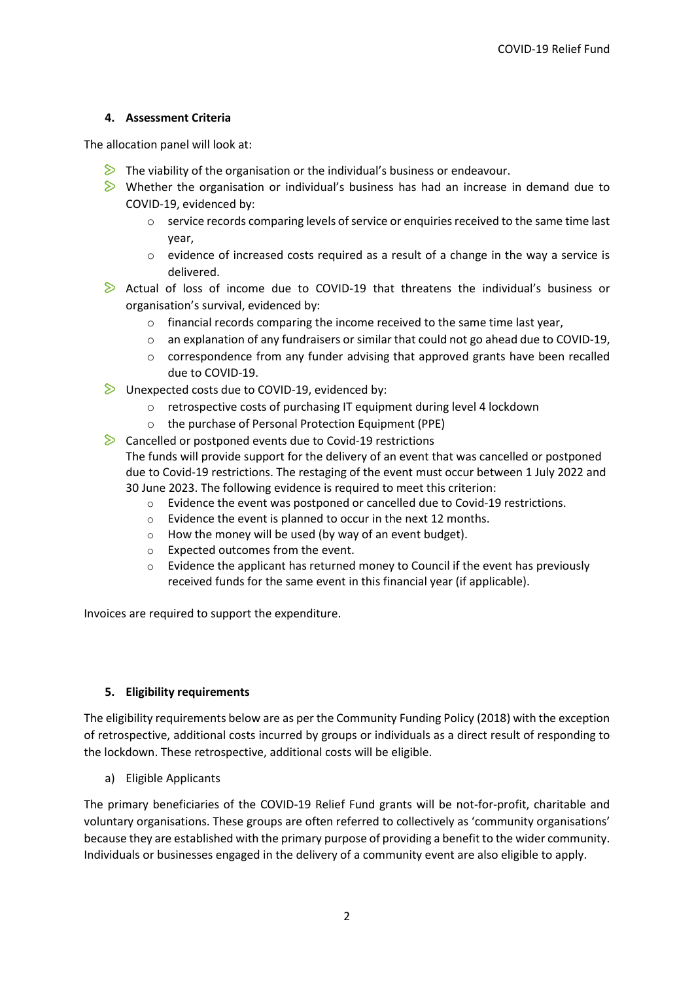# **4. Assessment Criteria**

The allocation panel will look at:

- $\triangleright$  The viability of the organisation or the individual's business or endeavour.
- $\triangleright$  Whether the organisation or individual's business has had an increase in demand due to COVID-19, evidenced by:
	- o service records comparing levels of service or enquiries received to the same time last year,
	- o evidence of increased costs required as a result of a change in the way a service is delivered.
- $\triangleright$  Actual of loss of income due to COVID-19 that threatens the individual's business or organisation's survival, evidenced by:
	- $\circ$  financial records comparing the income received to the same time last year,
	- $\circ$  an explanation of any fundraisers or similar that could not go ahead due to COVID-19,
	- o correspondence from any funder advising that approved grants have been recalled due to COVID-19.
- $\triangleright$  Unexpected costs due to COVID-19, evidenced by:
	- o retrospective costs of purchasing IT equipment during level 4 lockdown
	- o the purchase of Personal Protection Equipment (PPE)

 $\triangleright$  Cancelled or postponed events due to Covid-19 restrictions The funds will provide support for the delivery of an event that was cancelled or postponed due to Covid-19 restrictions. The restaging of the event must occur between 1 July 2022 and 30 June 2023. The following evidence is required to meet this criterion:

- o Evidence the event was postponed or cancelled due to Covid-19 restrictions.
- o Evidence the event is planned to occur in the next 12 months.
- $\circ$  How the money will be used (by way of an event budget).
- o Expected outcomes from the event.
- $\circ$  Evidence the applicant has returned money to Council if the event has previously received funds for the same event in this financial year (if applicable).

Invoices are required to support the expenditure.

# **5. Eligibility requirements**

The eligibility requirements below are as per the Community Funding Policy (2018) with the exception of retrospective, additional costs incurred by groups or individuals as a direct result of responding to the lockdown. These retrospective, additional costs will be eligible.

a) Eligible Applicants

The primary beneficiaries of the COVID-19 Relief Fund grants will be not-for-profit, charitable and voluntary organisations. These groups are often referred to collectively as 'community organisations' because they are established with the primary purpose of providing a benefit to the wider community. Individuals or businesses engaged in the delivery of a community event are also eligible to apply.